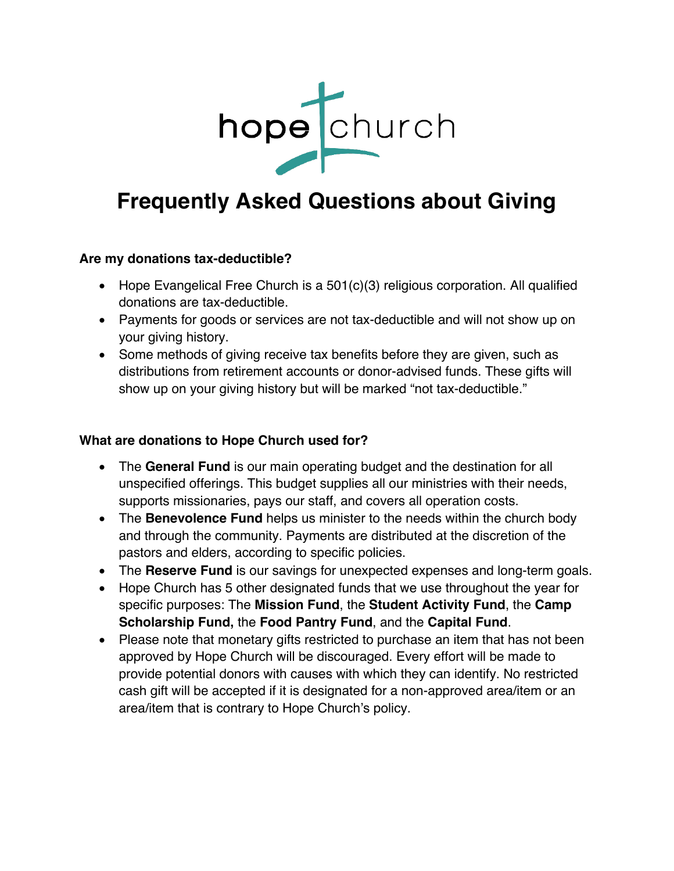

# **Frequently Asked Questions about Giving**

## **Are my donations tax-deductible?**

- Hope Evangelical Free Church is a 501(c)(3) religious corporation. All qualified donations are tax-deductible.
- Payments for goods or services are not tax-deductible and will not show up on your giving history.
- Some methods of giving receive tax benefits before they are given, such as distributions from retirement accounts or donor-advised funds. These gifts will show up on your giving history but will be marked "not tax-deductible."

### **What are donations to Hope Church used for?**

- The **General Fund** is our main operating budget and the destination for all unspecified offerings. This budget supplies all our ministries with their needs, supports missionaries, pays our staff, and covers all operation costs.
- The **Benevolence Fund** helps us minister to the needs within the church body and through the community. Payments are distributed at the discretion of the pastors and elders, according to specific policies.
- The **Reserve Fund** is our savings for unexpected expenses and long-term goals.
- Hope Church has 5 other designated funds that we use throughout the year for specific purposes: The **Mission Fund**, the **Student Activity Fund**, the **Camp Scholarship Fund,** the **Food Pantry Fund**, and the **Capital Fund**.
- Please note that monetary gifts restricted to purchase an item that has not been approved by Hope Church will be discouraged. Every effort will be made to provide potential donors with causes with which they can identify. No restricted cash gift will be accepted if it is designated for a non-approved area/item or an area/item that is contrary to Hope Church's policy.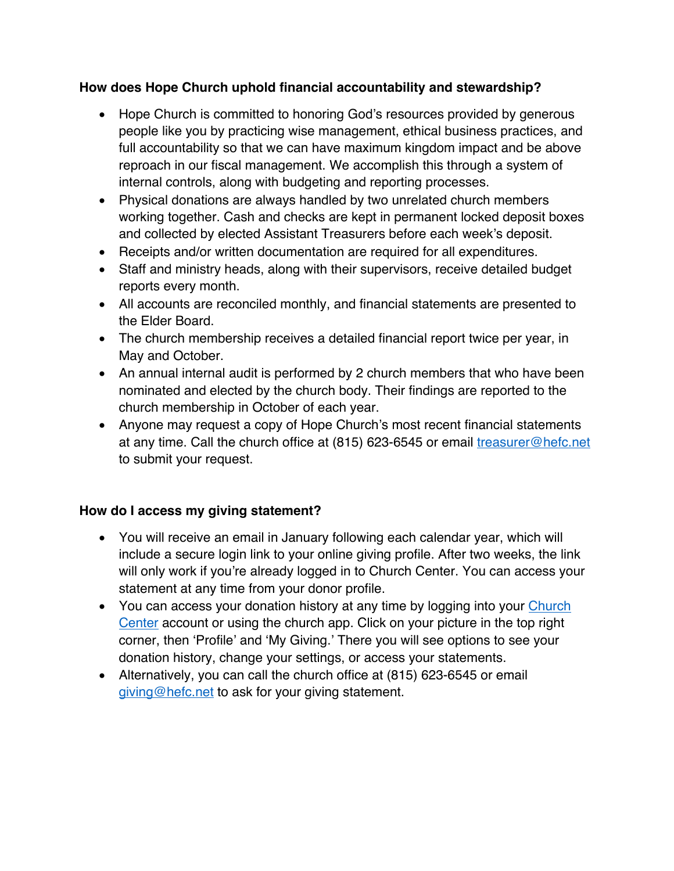## **How does Hope Church uphold financial accountability and stewardship?**

- Hope Church is committed to honoring God's resources provided by generous people like you by practicing wise management, ethical business practices, and full accountability so that we can have maximum kingdom impact and be above reproach in our fiscal management. We accomplish this through a system of internal controls, along with budgeting and reporting processes.
- Physical donations are always handled by two unrelated church members working together. Cash and checks are kept in permanent locked deposit boxes and collected by elected Assistant Treasurers before each week's deposit.
- Receipts and/or written documentation are required for all expenditures.
- Staff and ministry heads, along with their supervisors, receive detailed budget reports every month.
- All accounts are reconciled monthly, and financial statements are presented to the Elder Board.
- The church membership receives a detailed financial report twice per year, in May and October.
- An annual internal audit is performed by 2 church members that who have been nominated and elected by the church body. Their findings are reported to the church membership in October of each year.
- Anyone may request a copy of Hope Church's most recent financial statements at any time. Call the church office at (815) 623-6545 or email treasurer@hefc.net to submit your request.

## **How do I access my giving statement?**

- You will receive an email in January following each calendar year, which will include a secure login link to your online giving profile. After two weeks, the link will only work if you're already logged in to Church Center. You can access your statement at any time from your donor profile.
- You can access your donation history at any time by logging into your Church Center account or using the church app. Click on your picture in the top right corner, then 'Profile' and 'My Giving.' There you will see options to see your donation history, change your settings, or access your statements.
- Alternatively, you can call the church office at (815) 623-6545 or email giving@hefc.net to ask for your giving statement.